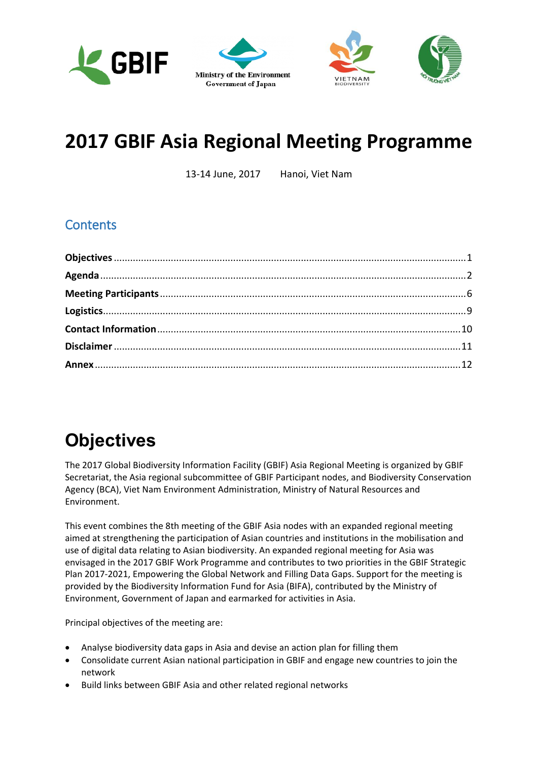<span id="page-0-1"></span>





## **2017 GBIF Asia Regional Meeting Programme**

13-14 June, 2017 Hanoi, Viet Nam

## <span id="page-0-3"></span>**Contents**

## <span id="page-0-0"></span>**Objectives**

The 2017 Global Biodiversity Information Facility (GBIF) Asia Regional Meeting is organized by GBIF Secretariat, the Asia regional subcommittee of GBIF Participant nodes, and Biodiversity Conservation Agency (BCA), Viet Nam Environment Administration, Ministry of Natural Resources and Environment.

This event combines the 8th meeting of the GBIF Asia nodes with an expanded regional meeting aimed at strengthening the participation of Asian countries and institutions in the mobilisation and use of digital data relating to Asian biodiversity. An expanded regional meeting for Asia was envisaged in the 2017 GBIF Work Programme and contributes to two priorities in the GBIF Strategic Plan 2017-2021, Empowering the Global Network and Filling Data Gaps. Support for the meeting is provided by the Biodiversity Information Fund for Asia (BIFA), contributed by the Ministry of Environment, Government of Japan and earmarked for activities in Asia.

<span id="page-0-2"></span>Principal objectives of the meeting are:

- x Analyse biodiversity data gaps in Asia and devise an action plan for filling them
- x Consolidate current Asian national participation in GBIF and engage new countries to join the network
- Build links between GBIF Asia and other related regional networks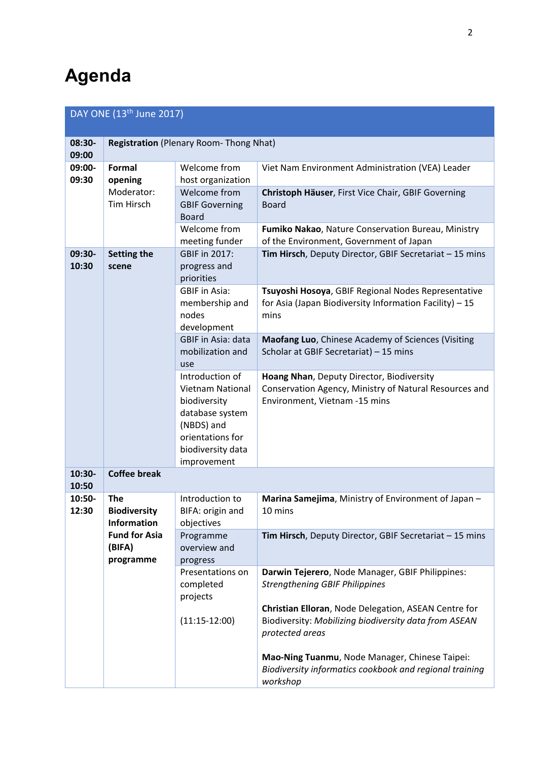## <span id="page-1-0"></span>**Agenda**

| DAY ONE $(13^{\text{th}})$ June 2017) |                                                                                                        |                                                                                                                                                     |                                                                                                                                      |
|---------------------------------------|--------------------------------------------------------------------------------------------------------|-----------------------------------------------------------------------------------------------------------------------------------------------------|--------------------------------------------------------------------------------------------------------------------------------------|
| 08:30-<br>09:00                       | <b>Registration (Plenary Room-Thong Nhat)</b>                                                          |                                                                                                                                                     |                                                                                                                                      |
| 09:00-<br>09:30                       | Formal<br>opening                                                                                      | Welcome from<br>host organization                                                                                                                   | Viet Nam Environment Administration (VEA) Leader                                                                                     |
|                                       | Moderator:<br>Tim Hirsch                                                                               | Welcome from<br><b>GBIF Governing</b><br><b>Board</b>                                                                                               | Christoph Häuser, First Vice Chair, GBIF Governing<br><b>Board</b>                                                                   |
|                                       |                                                                                                        | Welcome from<br>meeting funder                                                                                                                      | Fumiko Nakao, Nature Conservation Bureau, Ministry<br>of the Environment, Government of Japan                                        |
| 09:30-<br>10:30<br>scene              | Setting the                                                                                            | GBIF in 2017:<br>progress and<br>priorities                                                                                                         | Tim Hirsch, Deputy Director, GBIF Secretariat - 15 mins                                                                              |
|                                       |                                                                                                        | <b>GBIF</b> in Asia:<br>membership and<br>nodes<br>development                                                                                      | Tsuyoshi Hosoya, GBIF Regional Nodes Representative<br>for Asia (Japan Biodiversity Information Facility) - 15<br>mins               |
|                                       |                                                                                                        | <b>GBIF in Asia: data</b><br>mobilization and<br>use                                                                                                | Maofang Luo, Chinese Academy of Sciences (Visiting<br>Scholar at GBIF Secretariat) - 15 mins                                         |
|                                       |                                                                                                        | Introduction of<br><b>Vietnam National</b><br>biodiversity<br>database system<br>(NBDS) and<br>orientations for<br>biodiversity data<br>improvement | Hoang Nhan, Deputy Director, Biodiversity<br>Conservation Agency, Ministry of Natural Resources and<br>Environment, Vietnam -15 mins |
| 10:30-<br>10:50                       | <b>Coffee break</b>                                                                                    |                                                                                                                                                     |                                                                                                                                      |
| 10:50-<br>12:30                       | <b>The</b><br><b>Biodiversity</b><br><b>Information</b><br><b>Fund for Asia</b><br>(BIFA)<br>programme | Introduction to<br>BIFA: origin and<br>objectives                                                                                                   | Marina Samejima, Ministry of Environment of Japan -<br>10 mins                                                                       |
|                                       |                                                                                                        | Programme<br>overview and<br>progress                                                                                                               | Tim Hirsch, Deputy Director, GBIF Secretariat - 15 mins                                                                              |
|                                       |                                                                                                        | Presentations on<br>completed<br>projects                                                                                                           | Darwin Tejerero, Node Manager, GBIF Philippines:<br><b>Strengthening GBIF Philippines</b>                                            |
|                                       |                                                                                                        | $(11:15-12:00)$                                                                                                                                     | Christian Elloran, Node Delegation, ASEAN Centre for<br>Biodiversity: Mobilizing biodiversity data from ASEAN<br>protected areas     |
|                                       |                                                                                                        |                                                                                                                                                     | Mao-Ning Tuanmu, Node Manager, Chinese Taipei:<br>Biodiversity informatics cookbook and regional training<br>workshop                |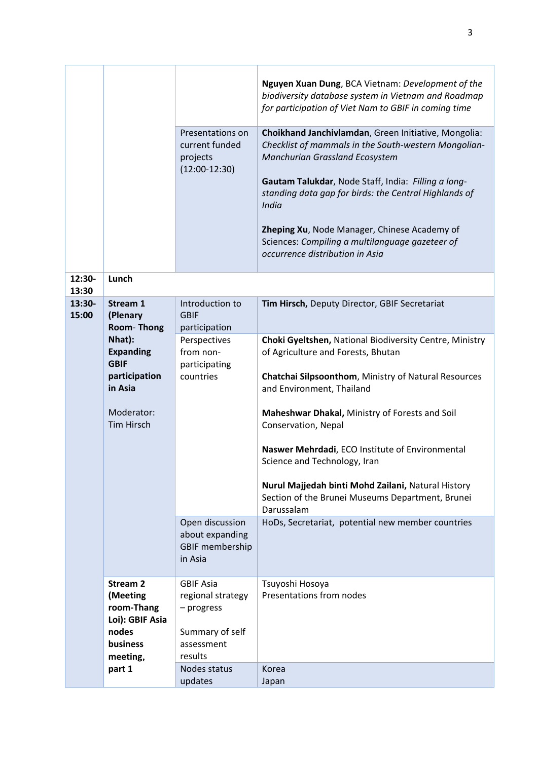|                 |                                                                                                                                                | Presentations on<br>current funded<br>projects<br>$(12:00-12:30)$                                               | Nguyen Xuan Dung, BCA Vietnam: Development of the<br>biodiversity database system in Vietnam and Roadmap<br>for participation of Viet Nam to GBIF in coming time<br>Choikhand Janchivlamdan, Green Initiative, Mongolia:<br>Checklist of mammals in the South-western Mongolian-<br>Manchurian Grassland Ecosystem<br>Gautam Talukdar, Node Staff, India: Filling a long-<br>standing data gap for birds: the Central Highlands of<br>India<br>Zheping Xu, Node Manager, Chinese Academy of<br>Sciences: Compiling a multilanguage gazeteer of<br>occurrence distribution in Asia |
|-----------------|------------------------------------------------------------------------------------------------------------------------------------------------|-----------------------------------------------------------------------------------------------------------------|-----------------------------------------------------------------------------------------------------------------------------------------------------------------------------------------------------------------------------------------------------------------------------------------------------------------------------------------------------------------------------------------------------------------------------------------------------------------------------------------------------------------------------------------------------------------------------------|
| 12:30-<br>13:30 | Lunch                                                                                                                                          |                                                                                                                 |                                                                                                                                                                                                                                                                                                                                                                                                                                                                                                                                                                                   |
| 13:30-<br>15:00 | Stream 1<br>(Plenary<br>Room-Thong<br>Nhat):<br><b>Expanding</b><br><b>GBIF</b><br>participation<br>in Asia<br>Moderator:<br><b>Tim Hirsch</b> | Introduction to<br><b>GBIF</b><br>participation<br>Perspectives<br>from non-<br>participating<br>countries      | Tim Hirsch, Deputy Director, GBIF Secretariat<br>Choki Gyeltshen, National Biodiversity Centre, Ministry<br>of Agriculture and Forests, Bhutan<br>Chatchai Silpsoonthom, Ministry of Natural Resources<br>and Environment, Thailand<br>Maheshwar Dhakal, Ministry of Forests and Soil<br>Conservation, Nepal<br>Naswer Mehrdadi, ECO Institute of Environmental<br>Science and Technology, Iran<br>Nurul Majjedah binti Mohd Zailani, Natural History<br>Section of the Brunei Museums Department, Brunei<br>Darussalam                                                           |
|                 |                                                                                                                                                | Open discussion<br>about expanding<br><b>GBIF membership</b><br>in Asia                                         | HoDs, Secretariat, potential new member countries                                                                                                                                                                                                                                                                                                                                                                                                                                                                                                                                 |
|                 | <b>Stream 2</b><br>(Meeting<br>room-Thang<br>Loi): GBIF Asia<br>nodes<br><b>business</b><br>meeting,<br>part 1                                 | <b>GBIF Asia</b><br>regional strategy<br>- progress<br>Summary of self<br>assessment<br>results<br>Nodes status | Tsuyoshi Hosoya<br>Presentations from nodes<br>Korea                                                                                                                                                                                                                                                                                                                                                                                                                                                                                                                              |
|                 |                                                                                                                                                | updates                                                                                                         | Japan                                                                                                                                                                                                                                                                                                                                                                                                                                                                                                                                                                             |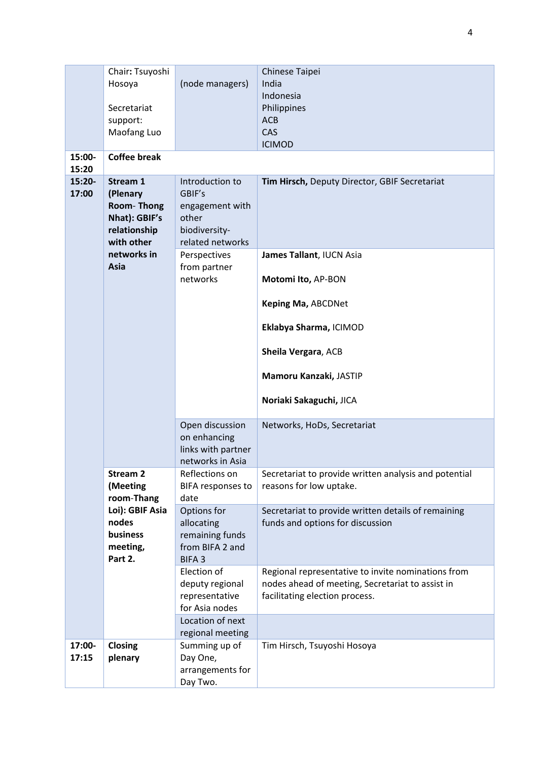|                 | Chair: Tsuyoshi<br>Hosoya<br>Secretariat                                                                 | (node managers)                                                                            | Chinese Taipei<br>India<br>Indonesia<br>Philippines                                                                                      |
|-----------------|----------------------------------------------------------------------------------------------------------|--------------------------------------------------------------------------------------------|------------------------------------------------------------------------------------------------------------------------------------------|
|                 | support:<br>Maofang Luo                                                                                  |                                                                                            | <b>ACB</b><br>CAS<br><b>ICIMOD</b>                                                                                                       |
| 15:00-<br>15:20 | <b>Coffee break</b>                                                                                      |                                                                                            |                                                                                                                                          |
| 15:20-<br>17:00 | Stream 1<br>(Plenary<br>Room-Thong<br>Nhat): GBIF's<br>relationship<br>with other<br>networks in<br>Asia | Introduction to<br>GBIF's<br>engagement with<br>other<br>biodiversity-<br>related networks | Tim Hirsch, Deputy Director, GBIF Secretariat                                                                                            |
|                 |                                                                                                          | Perspectives<br>from partner<br>networks                                                   | James Tallant, IUCN Asia<br>Motomi Ito, AP-BON                                                                                           |
|                 |                                                                                                          |                                                                                            | <b>Keping Ma, ABCDNet</b>                                                                                                                |
|                 |                                                                                                          |                                                                                            | Eklabya Sharma, ICIMOD                                                                                                                   |
|                 |                                                                                                          |                                                                                            | Sheila Vergara, ACB                                                                                                                      |
|                 |                                                                                                          |                                                                                            | Mamoru Kanzaki, JASTIP                                                                                                                   |
|                 |                                                                                                          |                                                                                            | Noriaki Sakaguchi, JICA                                                                                                                  |
|                 |                                                                                                          | Open discussion<br>on enhancing<br>links with partner<br>networks in Asia                  | Networks, HoDs, Secretariat                                                                                                              |
|                 | <b>Stream 2</b><br>(Meeting<br>room-Thang<br>Loi): GBIF Asia<br>nodes<br>business<br>meeting,<br>Part 2. | Reflections on<br>BIFA responses to<br>date                                                | Secretariat to provide written analysis and potential<br>reasons for low uptake.                                                         |
|                 |                                                                                                          | Options for<br>allocating<br>remaining funds<br>from BIFA 2 and<br><b>BIFA3</b>            | Secretariat to provide written details of remaining<br>funds and options for discussion                                                  |
|                 |                                                                                                          | Election of<br>deputy regional<br>representative<br>for Asia nodes                         | Regional representative to invite nominations from<br>nodes ahead of meeting, Secretariat to assist in<br>facilitating election process. |
|                 |                                                                                                          | Location of next<br>regional meeting                                                       |                                                                                                                                          |
| 17:00-<br>17:15 | <b>Closing</b><br>plenary                                                                                | Summing up of<br>Day One,<br>arrangements for<br>Day Two.                                  | Tim Hirsch, Tsuyoshi Hosoya                                                                                                              |